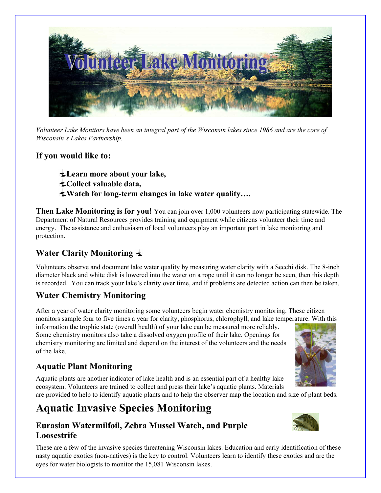

*Volunteer Lake Monitors have been an integral part of the Wisconsin lakes since 1986 and are the core of Wisconsin's Lakes Partnership.* 

### **If you would like to:**

- **Learn more about your lake,**
- *<u>Collect valuable data.</u>*
- **Watch for long-term changes in lake water quality….**

**Then Lake Monitoring is for you!** You can join over 1,000 volunteers now participating statewide. The Department of Natural Resources provides training and equipment while citizens volunteer their time and energy. The assistance and enthusiasm of local volunteers play an important part in lake monitoring and protection.

# **Water Clarity Monitoring**

Volunteers observe and document lake water quality by measuring water clarity with a Secchi disk. The 8-inch diameter black and white disk is lowered into the water on a rope until it can no longer be seen, then this depth is recorded. You can track your lake's clarity over time, and if problems are detected action can then be taken.

# **Water Chemistry Monitoring**

After a year of water clarity monitoring some volunteers begin water chemistry monitoring. These citizen monitors sample four to five times a year for clarity, phosphorus, chlorophyll, and lake temperature. With this

information the trophic state (overall health) of your lake can be measured more reliably. Some chemistry monitors also take a dissolved oxygen profile of their lake. Openings for chemistry monitoring are limited and depend on the interest of the volunteers and the needs of the lake.

## **Aquatic Plant Monitoring**

Aquatic plants are another indicator of lake health and is an essential part of a healthy lake ecosystem. Volunteers are trained to collect and press their lake's aquatic plants. Materials

are provided to help to identify aquatic plants and to help the observer map the location and size of plant beds.

# **Aquatic Invasive Species Monitoring**

## **Eurasian Watermilfoil, Zebra Mussel Watch, and Purple Loosestrife**

These are a few of the invasive species threatening Wisconsin lakes. Education and early identification of these nasty aquatic exotics (non-natives) is the key to control. Volunteers learn to identify these exotics and are the eyes for water biologists to monitor the 15,081 Wisconsin lakes.